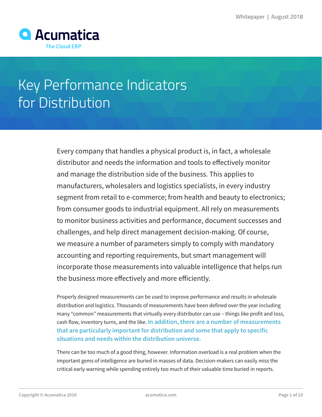

# Key Performance Indicators for Distribution

Every company that handles a physical product is, in fact, a wholesale distributor and needs the information and tools to effectively monitor and manage the distribution side of the business. This applies to manufacturers, wholesalers and logistics specialists, in every industry segment from retail to e-commerce; from health and beauty to electronics; from consumer goods to industrial equipment. All rely on measurements to monitor business activities and performance, document successes and challenges, and help direct management decision-making. Of course, we measure a number of parameters simply to comply with mandatory accounting and reporting requirements, but smart management will incorporate those measurements into valuable intelligence that helps run the business more effectively and more efficiently.

Properly designed measurements can be used to improve performance and results in wholesale distribution and logistics. Thousands of measurements have been defined over the year including many "common" measurements that virtually every distributor can use – things like profit and loss, cash flow, inventory turns, and the like. **In addition, there are a number of measurements that are particularly important for distribution and some that apply to specific situations and needs within the distribution universe.**

There can be too much of a good thing, however. Information overload is a real problem when the important gems of intelligence are buried in masses of data. Decision-makers can easily miss the critical early warning while spending entirely too much of their valuable time buried in reports.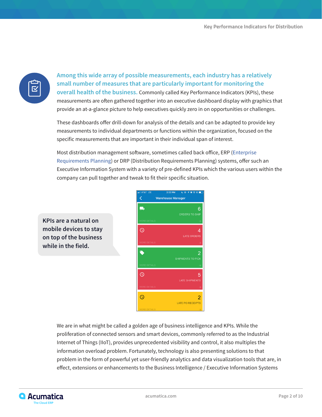

**Among this wide array of possible measurements, each industry has a relatively small number of measures that are particularly important for monitoring the overall health of the business.** Commonly called Key Performance Indicators (KPIs), these measurements are often gathered together into an executive dashboard display with graphics that provide an at-a-glance picture to help executives quickly zero in on opportunities or challenges.

These dashboards offer drill-down for analysis of the details and can be adapted to provide key measurements to individual departments or functions within the organization, focused on the specific measurements that are important in their individual span of interest.

Most distribution management software, sometimes called back office, ERP ([Enterprise](https://www.acumatica.com/what-is-cloud-erp-software/)  [Requirements Planning](https://www.acumatica.com/what-is-cloud-erp-software/)) or DRP (Distribution Requirements Planning) systems, offer such an Executive Information System with a variety of pre-defined KPIs which the various users within the company can pull together and tweak to fit their specific situation.

**KPIs are a natural on mobile devices to stay on top of the business while in the field.**



We are in what might be called a golden age of business intelligence and KPIs. While the proliferation of connected sensors and smart devices, commonly referred to as the Industrial Internet of Things (IIoT), provides unprecedented visibility and control, it also multiples the information overload problem. Fortunately, technology is also presenting solutions to that problem in the form of powerful yet user-friendly analytics and data visualization tools that are, in effect, extensions or enhancements to the Business Intelligence / Executive Information Systems

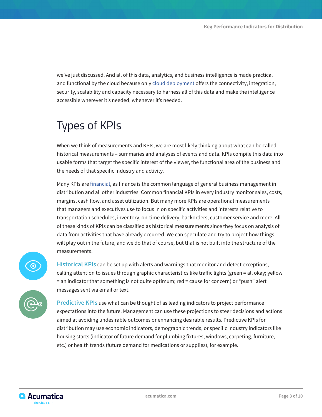we've just discussed. And all of this data, analytics, and business intelligence is made practical and functional by the cloud because only [cloud deployment](https://www.acumatica.com/acumatica-modern-erp-platform/) offers the connectivity, integration, security, scalability and capacity necessary to harness all of this data and make the intelligence accessible wherever it's needed, whenever it's needed.

## Types of KPIs

When we think of measurements and KPIs, we are most likely thinking about what can be called historical measurements – summaries and analyses of events and data. KPIs compile this data into usable forms that target the specific interest of the viewer, the functional area of the business and the needs of that specific industry and activity.

Many KPIs are [financial](https://www.acumatica.com/cloud-erp-software/financial-management/), as finance is the common language of general business management in distribution and all other industries. Common financial KPIs in every industry monitor sales, costs, margins, cash flow, and asset utilization. But many more KPIs are operational measurements that managers and executives use to focus in on specific activities and interests relative to transportation schedules, inventory, on-time delivery, backorders, customer service and more. All of these kinds of KPIs can be classified as historical measurements since they focus on analysis of data from activities that have already occurred. We can speculate and try to project how things will play out in the future, and we do that of course, but that is not built into the structure of the measurements.



**Historical KPIs** can be set up with alerts and warnings that monitor and detect exceptions, calling attention to issues through graphic characteristics like traffic lights (green = all okay; yellow = an indicator that something is not quite optimum; red = cause for concern) or "push" alert messages sent via email or text.

**Predictive KPIs** use what can be thought of as leading indicators to project performance expectations into the future. Management can use these projections to steer decisions and actions aimed at avoiding undesirable outcomes or enhancing desirable results. Predictive KPIs for distribution may use economic indicators, demographic trends, or specific industry indicators like housing starts (indicator of future demand for plumbing fixtures, windows, carpeting, furniture, etc.) or health trends (future demand for medications or supplies), for example.

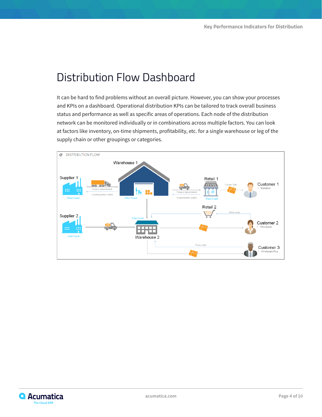## Distribution Flow Dashboard

It can be hard to find problems without an overall picture. However, you can show your processes and KPIs on a dashboard. Operational distribution KPIs can be tailored to track overall business status and performance as well as specific areas of operations. Each node of the distribution network can be monitored individually or in combinations across multiple factors. You can look at factors like inventory, on-time shipments, profitability, etc. for a single warehouse or leg of the supply chain or other groupings or categories.



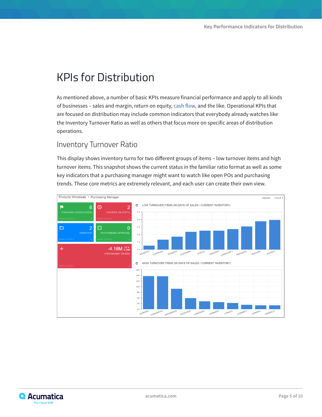## KPIs for Distribution

As mentioned above, a number of basic KPIs measure financial performance and apply to all kinds of businesses – sales and margin, return on equity, cash flow, and the like. Operational KPIs that are focused on distribution may include common indicators that everybody already watches like the Inventory Turnover Ratio as well as others that focus more on specific areas of distribution operations.

#### Inventory Turnover Ratio

This display shows inventory turns for two different groups of items – low turnover items and high turnover items. This snapshot shows the current status in the familiar ratio format as well as some key indicators that a purchasing manager might want to watch like open POs and purchasing trends. These core metrics are extremely relevant, and each user can create their own view.



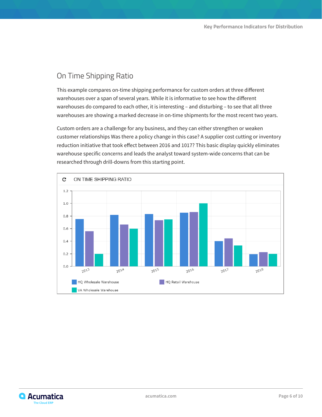#### On Time Shipping Ratio

This example compares on-time shipping performance for custom orders at three different warehouses over a span of several years. While it is informative to see how the different warehouses do compared to each other, it is interesting – and disturbing – to see that all three warehouses are showing a marked decrease in on-time shipments for the most recent two years.

Custom orders are a challenge for any business, and they can either strengthen or weaken customer relationships Was there a policy change in this case? A supplier cost cutting or inventory reduction initiative that took effect between 2016 and 1017? This basic display quickly eliminates warehouse specific concerns and leads the analyst toward system-wide concerns that can be researched through drill-downs from this starting point.



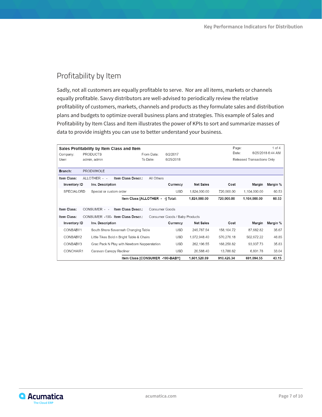#### Profitability by Item

Sadly, not all customers are equally profitable to serve. Nor are all items, markets or channels equally profitable. Savvy distributors are well-advised to periodically review the relative profitability of customers, markets, channels and products as they formulate sales and distribution plans and budgets to optimize overall business plans and strategies. This example of Sales and Profitability by Item Class and Item illustrates the power of KPIs to sort and summarize masses of data to provide insights you can use to better understand your business.

| $1$ of $4$<br>Page:<br>Sales Profitability by Item Class and Item |                                                                     |                                     |                                             |                                  |                |                  |                            |                   |          |
|-------------------------------------------------------------------|---------------------------------------------------------------------|-------------------------------------|---------------------------------------------|----------------------------------|----------------|------------------|----------------------------|-------------------|----------|
| Company:                                                          | <b>PRODUCTS</b>                                                     |                                     | From Date:                                  | 6/2/2017                         |                | Date:            |                            | 6/25/2018 6:44 AM |          |
| User:                                                             | admin, admin                                                        |                                     | To Date:                                    | 6/25/2018                        |                |                  | Released Transactions Only |                   |          |
|                                                                   |                                                                     |                                     |                                             |                                  |                |                  |                            |                   |          |
| Branch:                                                           | <b>PRODWHOLE</b>                                                    |                                     |                                             |                                  |                |                  |                            |                   |          |
| Item Class:                                                       |                                                                     | ALLOTHER - -                        | Item Class Descr.:                          | All Others                       |                |                  |                            |                   |          |
| Inventory ID                                                      |                                                                     | Inv. Description                    |                                             |                                  | Currency       | <b>Net Sales</b> | Cost                       | Margin            | Margin % |
| <b>SPECIALORD</b>                                                 |                                                                     | Special or custom order             |                                             |                                  | <b>USD</b>     | 1,824,000.00     | 720,000.00                 | 1,104,000.00      | 60.53    |
|                                                                   |                                                                     |                                     |                                             | Item Class [ALLOTHER - -] Total: |                | 1,824,000.00     | 720,000,00                 | 1,104,000.00      | 60.53    |
| Item Class:                                                       |                                                                     | CONSUMER - -                        | Item Class Descr.:                          |                                  | Consumer Goods |                  |                            |                   |          |
| Item Class:                                                       | CONSUMER -100- Item Class Descr.:<br>Consumer Goods / Baby Products |                                     |                                             |                                  |                |                  |                            |                   |          |
| Inventory ID                                                      |                                                                     | Inv. Description                    |                                             |                                  | Currency       | <b>Net Sales</b> | Cost                       | Margin            | Margin % |
| CONBABY1                                                          |                                                                     | South Shore Savannah Changing Table |                                             |                                  | <b>USD</b>     | 245,787.54       | 158,104.72                 | 87,682.82         | 35.67    |
| CONBABY2                                                          |                                                                     |                                     | Little Tikes Bold n Bright Table & Chairs   |                                  | <b>USD</b>     | 1,072,948.40     | 570,276.18                 | 502,672.22        | 46.85    |
| CONBABY3                                                          |                                                                     |                                     | Grac Pack N Play with Newborn Napperstation |                                  | <b>USD</b>     | 262,196.55       | 168.258.82                 | 93,937.73         | 35.83    |
| CONCHAIR1                                                         |                                                                     | Caravan Canopy Recliner             |                                             |                                  | <b>USD</b>     | 20,588.40        | 13,786.62                  | 6,801.78          | 33.04    |
| Item Class [CONSUMER -100-BABY]                                   |                                                                     |                                     |                                             |                                  |                | 1,601,520.89     | 910,426.34                 | 691.094.55        | 43.15    |

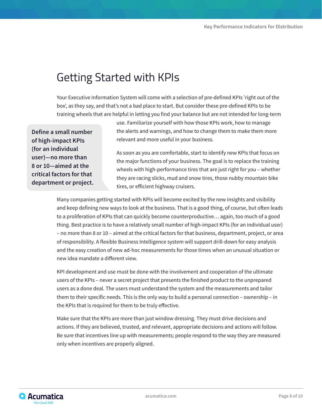## Getting Started with KPIs

Your Executive Information System will come with a selection of pre-defined KPIs 'right out of the box', as they say, and that's not a bad place to start. But consider these pre-defined KPIs to be training wheels that are helpful in letting you find your balance but are not intended for long-term

**Define a small number of high-impact KPIs (for an individual user)—no more than 8 or 10—aimed at the critical factors for that department or project.**

use. Familiarize yourself with how those KPIs work, how to manage the alerts and warnings, and how to change them to make them more relevant and more useful in your business.

As soon as you are comfortable, start to identify new KPIs that focus on the major functions of your business. The goal is to replace the training wheels with high-performance tires that are just right for you – whether they are racing slicks, mud and snow tires, those nubby mountain bike tires, or efficient highway cruisers.

Many companies getting started with KPIs will become excited by the new insights and visibility and keep defining new ways to look at the business. That is a good thing, of course, but often leads to a proliferation of KPIs that can quickly become counterproductive… again, too much of a good thing. Best practice is to have a relatively small number of high-impact KPIs (for an individual user) – no more than 8 or 10 – aimed at the critical factors for that business, department, project, or area of responsibility. A flexible Business Intelligence system will support drill-down for easy analysis and the easy creation of new ad-hoc measurements for those times when an unusual situation or new idea mandate a different view.

KPI development and use must be done with the involvement and cooperation of the ultimate users of the KPIs – never a secret project that presents the finished product to the unprepared users as a done deal. The users must understand the system and the measurements and tailor them to their specific needs. This is the only way to build a personal connection – ownership – in the KPIs that is required for them to be truly effective.

Make sure that the KPIs are more than just window dressing. They must drive decisions and actions. If they are believed, trusted, and relevant, appropriate decisions and actions will follow. Be sure that incentives line up with measurements; people respond to the way they are measured only when incentives are properly aligned.

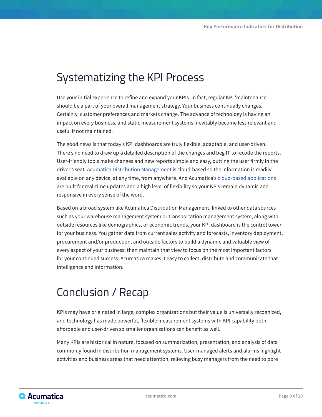## Systematizing the KPI Process

Use your initial experience to refine and expand your KPIs. In fact, regular KPI 'maintenance' should be a part of your overall management strategy. Your business continually changes. Certainly, customer preferences and markets change. The advance of technology is having an impact on every business, and static measurement systems inevitably become less relevant and useful if not maintained.

The good news is that today's KPI dashboards are truly flexible, adaptable, and user-driven. There's no need to draw up a detailed description of the changes and beg IT to recode the reports. User-friendly tools make changes and new reports simple and easy, putting the user firmly in the driver's seat. [Acumatica Distribution Management](https://www.acumatica.com/cloud-erp-software/distribution-management/) is cloud-based so the information is readily available on any device, at any time, from anywhere. And Acumatica's cloud-based applications are built for real-time updates and a high level of flexibility so your KPIs remain dynamic and responsive in every sense of the word.

Based on a broad system like Acumatica Distribution Management, linked to other data sources such as your warehouse management system or transportation management system, along with outside resources like demographics, or economic trends, your KPI dashboard is the control tower for your business. You gather data from current sales activity and forecasts, inventory deployment, procurement and/or production, and outside factors to build a dynamic and valuable view of every aspect of your business; then maintain that view to focus on the most important factors for your continued success. Acumatica makes it easy to collect, distribute and communicate that intelligence and information.

### Conclusion / Recap

KPIs may have originated in large, complex organizations but their value is universally recognized, and technology has made powerful, flexible measurement systems with KPI capability both affordable and user-driven so smaller organizations can benefit as well.

Many KPIs are historical in nature, focused on summarization, presentation, and analysis of data commonly found in distribution management systems. User-managed alerts and alarms highlight activities and business areas that need attention, relieving busy managers from the need to pore